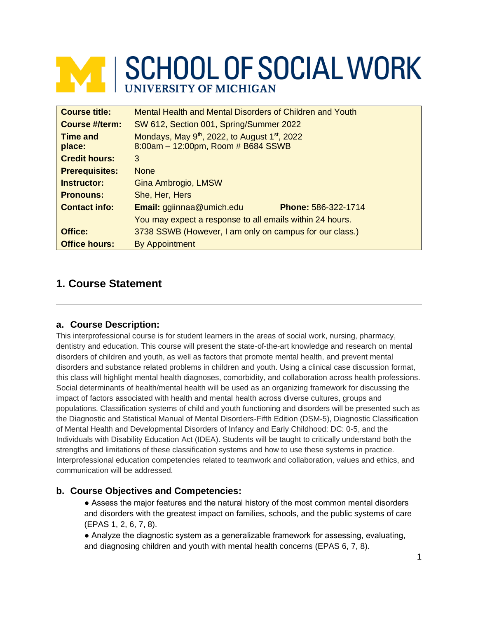# **MINISCHOOL OF SOCIAL WORK**

| <b>Course title:</b>      | Mental Health and Mental Disorders of Children and Youth                                                    |  |  |
|---------------------------|-------------------------------------------------------------------------------------------------------------|--|--|
| <b>Course #/term:</b>     | SW 612, Section 001, Spring/Summer 2022                                                                     |  |  |
| <b>Time and</b><br>place: | Mondays, May 9 <sup>th</sup> , 2022, to August 1 <sup>st</sup> , 2022<br>8:00am - 12:00pm, Room # B684 SSWB |  |  |
| <b>Credit hours:</b>      | 3                                                                                                           |  |  |
| <b>Prerequisites:</b>     | <b>None</b>                                                                                                 |  |  |
| Instructor:               | Gina Ambrogio, LMSW                                                                                         |  |  |
| <b>Pronouns:</b>          | She, Her, Hers                                                                                              |  |  |
| <b>Contact info:</b>      | <b>Email:</b> ggiinnaa@umich.edu<br>Phone: 586-322-1714                                                     |  |  |
|                           | You may expect a response to all emails within 24 hours.                                                    |  |  |
| Office:                   | 3738 SSWB (However, I am only on campus for our class.)                                                     |  |  |
| <b>Office hours:</b>      | <b>By Appointment</b>                                                                                       |  |  |

## **1. Course Statement**

#### **a. Course Description:**

This interprofessional course is for student learners in the areas of social work, nursing, pharmacy, dentistry and education. This course will present the state-of-the-art knowledge and research on mental disorders of children and youth, as well as factors that promote mental health, and prevent mental disorders and substance related problems in children and youth. Using a clinical case discussion format, this class will highlight mental health diagnoses, comorbidity, and collaboration across health professions. Social determinants of health/mental health will be used as an organizing framework for discussing the impact of factors associated with health and mental health across diverse cultures, groups and populations. Classification systems of child and youth functioning and disorders will be presented such as the Diagnostic and Statistical Manual of Mental Disorders-Fifth Edition (DSM-5), Diagnostic Classification of Mental Health and Developmental Disorders of Infancy and Early Childhood: DC: 0-5, and the Individuals with Disability Education Act (IDEA). Students will be taught to critically understand both the strengths and limitations of these classification systems and how to use these systems in practice. Interprofessional education competencies related to teamwork and collaboration, values and ethics, and communication will be addressed.

#### **b. Course Objectives and Competencies:**

● Assess the major features and the natural history of the most common mental disorders and disorders with the greatest impact on families, schools, and the public systems of care (EPAS 1, 2, 6, 7, 8).

● Analyze the diagnostic system as a generalizable framework for assessing, evaluating, and diagnosing children and youth with mental health concerns (EPAS 6, 7, 8).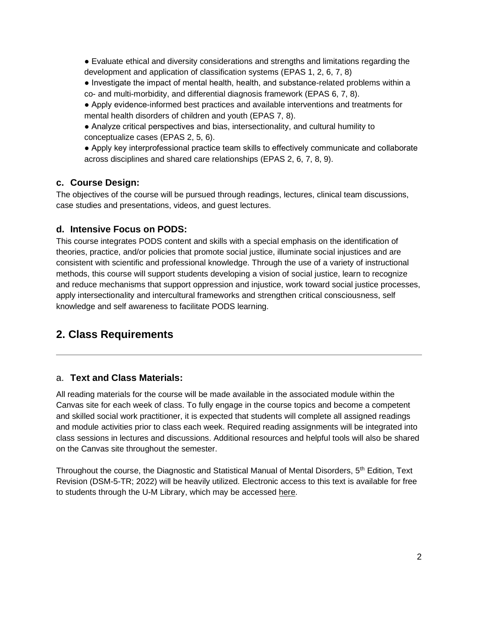● Evaluate ethical and diversity considerations and strengths and limitations regarding the development and application of classification systems (EPAS 1, 2, 6, 7, 8)

● Investigate the impact of mental health, health, and substance-related problems within a co- and multi-morbidity, and differential diagnosis framework (EPAS 6, 7, 8).

- Apply evidence-informed best practices and available interventions and treatments for mental health disorders of children and youth (EPAS 7, 8).
- Analyze critical perspectives and bias, intersectionality, and cultural humility to conceptualize cases (EPAS 2, 5, 6).

● Apply key interprofessional practice team skills to effectively communicate and collaborate across disciplines and shared care relationships (EPAS 2, 6, 7, 8, 9).

#### **c. Course Design:**

The objectives of the course will be pursued through readings, lectures, clinical team discussions, case studies and presentations, videos, and guest lectures.

#### **d. Intensive Focus on PODS:**

This course integrates PODS content and skills with a special emphasis on the identification of theories, practice, and/or policies that promote social justice, illuminate social injustices and are consistent with scientific and professional knowledge. Through the use of a variety of instructional methods, this course will support students developing a vision of social justice, learn to recognize and reduce mechanisms that support oppression and injustice, work toward social justice processes, apply intersectionality and intercultural frameworks and strengthen critical consciousness, self knowledge and self awareness to facilitate PODS learning.

## **2. Class Requirements**

### a. **Text and Class Materials:**

All reading materials for the course will be made available in the associated module within the Canvas site for each week of class. To fully engage in the course topics and become a competent and skilled social work practitioner, it is expected that students will complete all assigned readings and module activities prior to class each week. Required reading assignments will be integrated into class sessions in lectures and discussions. Additional resources and helpful tools will also be shared on the Canvas site throughout the semester.

Throughout the course, the Diagnostic and Statistical Manual of Mental Disorders, 5<sup>th</sup> Edition, Text Revision (DSM-5-TR; 2022) will be heavily utilized. Electronic access to this text is available for free to students through the U-M Library, which may be accessed [here.](https://dsm-psychiatryonline-org.proxy.lib.umich.edu/)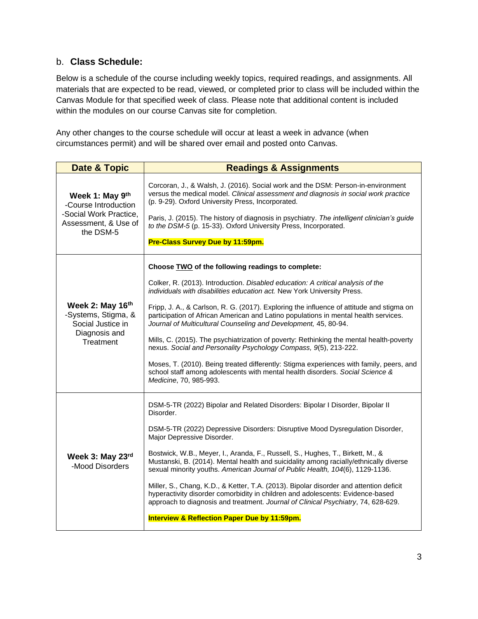#### b. **Class Schedule:**

Below is a schedule of the course including weekly topics, required readings, and assignments. All materials that are expected to be read, viewed, or completed prior to class will be included within the Canvas Module for that specified week of class. Please note that additional content is included within the modules on our course Canvas site for completion.

Any other changes to the course schedule will occur at least a week in advance (when circumstances permit) and will be shared over email and posted onto Canvas.

| <b>Date &amp; Topic</b>                                                                                | <b>Readings &amp; Assignments</b>                                                                                                                                                                                                                                                                                                                                                                                                                                                                                                                                                                                                                                                                                                                                                                                                          |  |  |  |
|--------------------------------------------------------------------------------------------------------|--------------------------------------------------------------------------------------------------------------------------------------------------------------------------------------------------------------------------------------------------------------------------------------------------------------------------------------------------------------------------------------------------------------------------------------------------------------------------------------------------------------------------------------------------------------------------------------------------------------------------------------------------------------------------------------------------------------------------------------------------------------------------------------------------------------------------------------------|--|--|--|
| Week 1: May 9th<br>-Course Introduction<br>-Social Work Practice,<br>Assessment, & Use of<br>the DSM-5 | Corcoran, J., & Walsh, J. (2016). Social work and the DSM: Person-in-environment<br>versus the medical model. Clinical assessment and diagnosis in social work practice<br>(p. 9-29). Oxford University Press, Incorporated.<br>Paris, J. (2015). The history of diagnosis in psychiatry. The intelligent clinician's guide<br>to the DSM-5 (p. 15-33). Oxford University Press, Incorporated.<br>Pre-Class Survey Due by 11:59pm.                                                                                                                                                                                                                                                                                                                                                                                                         |  |  |  |
| Week 2: May 16th<br>-Systems, Stigma, &<br>Social Justice in<br>Diagnosis and<br>Treatment             | Choose TWO of the following readings to complete:<br>Colker, R. (2013). Introduction. Disabled education: A critical analysis of the<br>individuals with disabilities education act. New York University Press.<br>Fripp, J. A., & Carlson, R. G. (2017). Exploring the influence of attitude and stigma on<br>participation of African American and Latino populations in mental health services.<br>Journal of Multicultural Counseling and Development, 45, 80-94.<br>Mills, C. (2015). The psychiatrization of poverty: Rethinking the mental health-poverty<br>nexus. Social and Personality Psychology Compass, 9(5), 213-222.<br>Moses, T. (2010). Being treated differently: Stigma experiences with family, peers, and<br>school staff among adolescents with mental health disorders. Social Science &<br>Medicine, 70, 985-993. |  |  |  |
| Week 3: May 23rd<br>-Mood Disorders                                                                    | DSM-5-TR (2022) Bipolar and Related Disorders: Bipolar I Disorder, Bipolar II<br>Disorder.<br>DSM-5-TR (2022) Depressive Disorders: Disruptive Mood Dysregulation Disorder,<br>Major Depressive Disorder.<br>Bostwick, W.B., Meyer, I., Aranda, F., Russell, S., Hughes, T., Birkett, M., &<br>Mustanski, B. (2014). Mental health and suicidality among racially/ethnically diverse<br>sexual minority youths. American Journal of Public Health, 104(6), 1129-1136.<br>Miller, S., Chang, K.D., & Ketter, T.A. (2013). Bipolar disorder and attention deficit<br>hyperactivity disorder comorbidity in children and adolescents: Evidence-based<br>approach to diagnosis and treatment. Journal of Clinical Psychiatry, 74, 628-629.<br>Interview & Reflection Paper Due by 11:59pm.                                                     |  |  |  |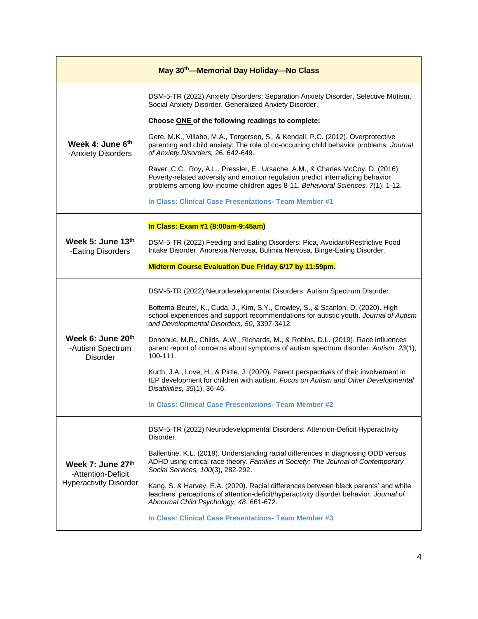| May 30 <sup>th</sup> —Memorial Day Holiday—No Class                      |                                                                                                                                                                                                                                                       |  |  |  |
|--------------------------------------------------------------------------|-------------------------------------------------------------------------------------------------------------------------------------------------------------------------------------------------------------------------------------------------------|--|--|--|
|                                                                          | DSM-5-TR (2022) Anxiety Disorders: Separation Anxiety Disorder, Selective Mutism,<br>Social Anxiety Disorder, Generalized Anxiety Disorder.                                                                                                           |  |  |  |
|                                                                          | Choose ONE of the following readings to complete:                                                                                                                                                                                                     |  |  |  |
| Week 4: June 6th<br>-Anxiety Disorders                                   | Gere, M.K., Villabo, M.A., Torgersen, S., & Kendall, P.C. (2012). Overprotective<br>parenting and child anxiety: The role of co-occurring child behavior problems. Journal<br>of Anxiety Disorders, 26, 642-649.                                      |  |  |  |
|                                                                          | Raver, C.C., Roy, A.L., Pressler, E., Ursache, A.M., & Charles McCoy, D. (2016).<br>Poverty-related adversity and emotion regulation predict internalizing behavior<br>problems among low-income children ages 8-11. Behavioral Sciences, 7(1), 1-12. |  |  |  |
|                                                                          | In Class: Clinical Case Presentations- Team Member #1                                                                                                                                                                                                 |  |  |  |
| Week 5: June 13th<br>-Eating Disorders                                   | In Class: Exam #1 (8:00am-9:45am)                                                                                                                                                                                                                     |  |  |  |
|                                                                          | DSM-5-TR (2022) Feeding and Eating Disorders: Pica, Avoidant/Restrictive Food<br>Intake Disorder, Anorexia Nervosa, Bulimia Nervosa, Binge-Eating Disorder.                                                                                           |  |  |  |
|                                                                          | Midterm Course Evaluation Due Friday 6/17 by 11:59pm.                                                                                                                                                                                                 |  |  |  |
| Week 6: June 20th<br>-Autism Spectrum<br><b>Disorder</b>                 | DSM-5-TR (2022) Neurodevelopmental Disorders: Autism Spectrum Disorder.                                                                                                                                                                               |  |  |  |
|                                                                          | Bottema-Beutel, K., Cuda, J., Kim, S.Y., Crowley, S., & Scanlon, D. (2020). High<br>school experiences and support recommendations for autistic youth. Journal of Autism<br>and Developmental Disorders, 50, 3397-3412.                               |  |  |  |
|                                                                          | Donohue, M.R., Childs, A.W., Richards, M., & Robins, D.L. (2019). Race influences<br>parent report of concerns about symptoms of autism spectrum disorder. Autism, 23(1),<br>100-111.                                                                 |  |  |  |
|                                                                          | Kurth, J.A., Love, H., & Pirtle, J. (2020). Parent perspectives of their involvement in<br>IEP development for children with autism. Focus on Autism and Other Developmental<br>Disabilities, 35(1), 36-46.                                           |  |  |  |
|                                                                          | In Class: Clinical Case Presentations- Team Member #2                                                                                                                                                                                                 |  |  |  |
| Week 7: June 27th<br>-Attention-Deficit<br><b>Hyperactivity Disorder</b> | DSM-5-TR (2022) Neurodevelopmental Disorders: Attention-Deficit Hyperactivity<br>Disorder.                                                                                                                                                            |  |  |  |
|                                                                          | Ballentine, K.L. (2019). Understanding racial differences in diagnosing ODD versus<br>ADHD using critical race theory. Families in Society: The Journal of Contemporary<br>Social Services, 100(3), 282-292.                                          |  |  |  |
|                                                                          | Kang, S. & Harvey, E.A. (2020). Racial differences between black parents' and white<br>teachers' perceptions of attention-deficit/hyperactivity disorder behavior. Journal of<br>Abnormal Child Psychology, 48, 661-672.                              |  |  |  |
|                                                                          | In Class: Clinical Case Presentations- Team Member #3                                                                                                                                                                                                 |  |  |  |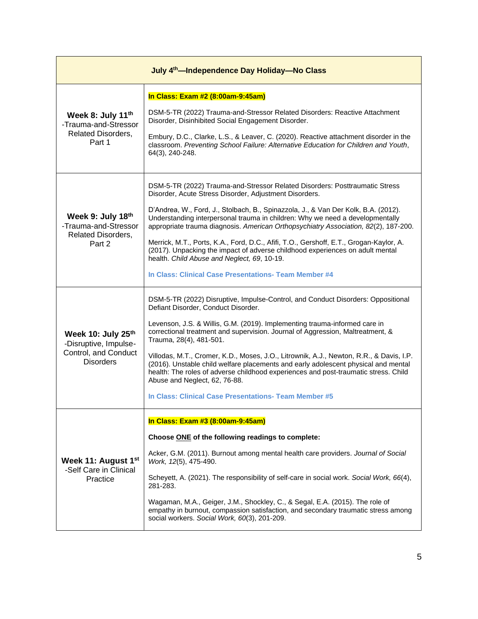| July 4 <sup>th</sup> —Independence Day Holiday—No Class                                 |                                                                                                                                                                                                                                                                                                       |  |  |  |
|-----------------------------------------------------------------------------------------|-------------------------------------------------------------------------------------------------------------------------------------------------------------------------------------------------------------------------------------------------------------------------------------------------------|--|--|--|
|                                                                                         | In Class: Exam #2 (8:00am-9:45am)                                                                                                                                                                                                                                                                     |  |  |  |
| Week 8: July 11th<br>-Trauma-and-Stressor                                               | DSM-5-TR (2022) Trauma-and-Stressor Related Disorders: Reactive Attachment<br>Disorder, Disinhibited Social Engagement Disorder.                                                                                                                                                                      |  |  |  |
| <b>Related Disorders,</b><br>Part 1                                                     | Embury, D.C., Clarke, L.S., & Leaver, C. (2020). Reactive attachment disorder in the<br>classroom. Preventing School Failure: Alternative Education for Children and Youth,<br>64(3), 240-248.                                                                                                        |  |  |  |
| Week 9: July 18th<br>-Trauma-and-Stressor<br><b>Related Disorders,</b><br>Part 2        | DSM-5-TR (2022) Trauma-and-Stressor Related Disorders: Posttraumatic Stress<br>Disorder, Acute Stress Disorder, Adjustment Disorders.                                                                                                                                                                 |  |  |  |
|                                                                                         | D'Andrea, W., Ford, J., Stolbach, B., Spinazzola, J., & Van Der Kolk, B.A. (2012).<br>Understanding interpersonal trauma in children: Why we need a developmentally<br>appropriate trauma diagnosis. American Orthopsychiatry Association, 82(2), 187-200.                                            |  |  |  |
|                                                                                         | Merrick, M.T., Ports, K.A., Ford, D.C., Afifi, T.O., Gershoff, E.T., Grogan-Kaylor, A.<br>(2017). Unpacking the impact of adverse childhood experiences on adult mental<br>health. Child Abuse and Neglect, 69, 10-19.                                                                                |  |  |  |
|                                                                                         | In Class: Clinical Case Presentations- Team Member #4                                                                                                                                                                                                                                                 |  |  |  |
| Week 10: July 25th<br>-Disruptive, Impulse-<br>Control, and Conduct<br><b>Disorders</b> | DSM-5-TR (2022) Disruptive, Impulse-Control, and Conduct Disorders: Oppositional<br>Defiant Disorder, Conduct Disorder.                                                                                                                                                                               |  |  |  |
|                                                                                         | Levenson, J.S. & Willis, G.M. (2019). Implementing trauma-informed care in<br>correctional treatment and supervision. Journal of Aggression, Maltreatment, &<br>Trauma, 28(4), 481-501.                                                                                                               |  |  |  |
|                                                                                         | Villodas, M.T., Cromer, K.D., Moses, J.O., Litrownik, A.J., Newton, R.R., & Davis, I.P.<br>(2016). Unstable child welfare placements and early adolescent physical and mental<br>health: The roles of adverse childhood experiences and post-traumatic stress. Child<br>Abuse and Neglect, 62, 76-88. |  |  |  |
|                                                                                         | In Class: Clinical Case Presentations- Team Member #5                                                                                                                                                                                                                                                 |  |  |  |
|                                                                                         | In Class: Exam #3 (8:00am-9:45am)                                                                                                                                                                                                                                                                     |  |  |  |
|                                                                                         | Choose ONE of the following readings to complete:                                                                                                                                                                                                                                                     |  |  |  |
| Week 11: August 1 <sup>st</sup><br>-Self Care in Clinical<br>Practice                   | Acker, G.M. (2011). Burnout among mental health care providers. Journal of Social<br>Work, 12(5), 475-490.                                                                                                                                                                                            |  |  |  |
|                                                                                         | Scheyett, A. (2021). The responsibility of self-care in social work. Social Work, 66(4),<br>281-283.                                                                                                                                                                                                  |  |  |  |
|                                                                                         | Wagaman, M.A., Geiger, J.M., Shockley, C., & Segal, E.A. (2015). The role of<br>empathy in burnout, compassion satisfaction, and secondary traumatic stress among<br>social workers. Social Work, 60(3), 201-209.                                                                                     |  |  |  |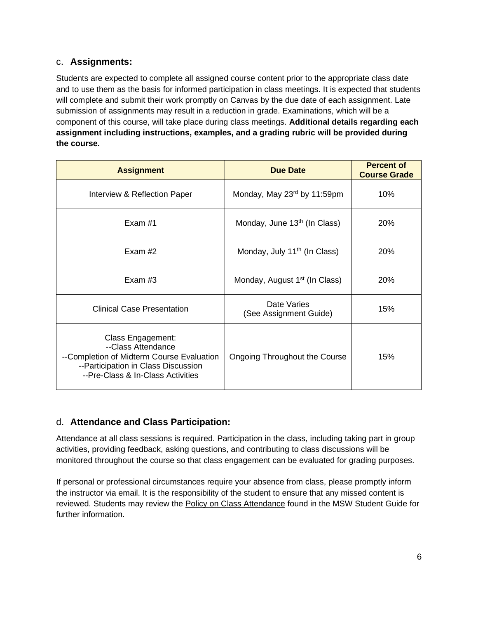#### c. **Assignments:**

Students are expected to complete all assigned course content prior to the appropriate class date and to use them as the basis for informed participation in class meetings. It is expected that students will complete and submit their work promptly on Canvas by the due date of each assignment. Late submission of assignments may result in a reduction in grade. Examinations, which will be a component of this course, will take place during class meetings. **Additional details regarding each assignment including instructions, examples, and a grading rubric will be provided during the course.**

| <b>Assignment</b>                                                                                                                                                | <b>Due Date</b>                           | <b>Percent of</b><br><b>Course Grade</b> |
|------------------------------------------------------------------------------------------------------------------------------------------------------------------|-------------------------------------------|------------------------------------------|
| Interview & Reflection Paper                                                                                                                                     | Monday, May 23rd by 11:59pm               | 10%                                      |
| Exam #1                                                                                                                                                          | Monday, June 13 <sup>th</sup> (In Class)  | 20%                                      |
| Exam $#2$                                                                                                                                                        | Monday, July 11 <sup>th</sup> (In Class)  | 20%                                      |
| Exam $#3$                                                                                                                                                        | Monday, August 1 <sup>st</sup> (In Class) | 20%                                      |
| <b>Clinical Case Presentation</b>                                                                                                                                | Date Varies<br>(See Assignment Guide)     | 15%                                      |
| Class Engagement:<br>--Class Attendance<br>--Completion of Midterm Course Evaluation<br>--Participation in Class Discussion<br>--Pre-Class & In-Class Activities | Ongoing Throughout the Course             | 15%                                      |

#### d. **Attendance and Class Participation:**

Attendance at all class sessions is required. Participation in the class, including taking part in group activities, providing feedback, asking questions, and contributing to class discussions will be monitored throughout the course so that class engagement can be evaluated for grading purposes.

If personal or professional circumstances require your absence from class, please promptly inform the instructor via email. It is the responsibility of the student to ensure that any missed content is reviewed. Students may review the [Policy on Class Attendance](https://ssw.umich.edu/msw-student-guide/section/1.09.00/17/policy-on-class-attendance) found in the MSW Student Guide for further information.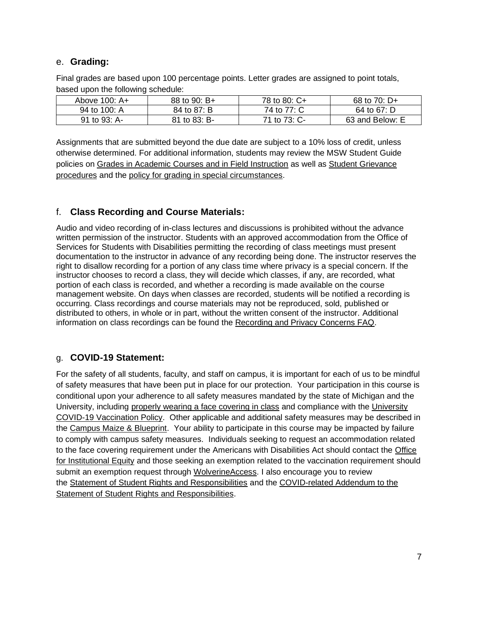#### e. **Grading:**

Final grades are based upon 100 percentage points. Letter grades are assigned to point totals, based upon the following schedule:

| Above 100: A+ | 88 to 90: $B+$ | 78 to 80: C+ | 68 to 70: D+    |
|---------------|----------------|--------------|-----------------|
| 94 to 100: A  | 84 to 87: B    | 74 to 77: C  | 64 to 67: D     |
| 91 to 93: A-  | 81 to 83: B-   | 71 to 73: C- | 63 and Below: E |

Assignments that are submitted beyond the due date are subject to a 10% loss of credit, unless otherwise determined. For additional information, students may review the MSW Student Guide policies on [Grades in Academic Courses and in Field Instruction](http://ssw.umich.edu/msw-student-guide/chapter/1.08/grades-in-academic-courses-and-in-field-instruction) as well as [Student Grievance](http://ssw.umich.edu/msw-student-guide/chapter/1.18/student-grievances)  [procedures](http://ssw.umich.edu/msw-student-guide/chapter/1.18/student-grievances) and the [policy for grading in special circumstances.](https://ssw.umich.edu/msw-student-guide/section/1.08.01/15/grades-for-special-circumstances)

#### f. **Class Recording and Course Materials:**

Audio and video recording of in-class lectures and discussions is prohibited without the advance written permission of the instructor. Students with an approved accommodation from the Office of Services for Students with Disabilities permitting the recording of class meetings must present documentation to the instructor in advance of any recording being done. The instructor reserves the right to disallow recording for a portion of any class time where privacy is a special concern. If the instructor chooses to record a class, they will decide which classes, if any, are recorded, what portion of each class is recorded, and whether a recording is made available on the course management website. On days when classes are recorded, students will be notified a recording is occurring. Class recordings and course materials may not be reproduced, sold, published or distributed to others, in whole or in part, without the written consent of the instructor. Additional information on class recordings can be found the [Recording and Privacy Concerns FAQ.](https://safecomputing.umich.edu/be-aware/privacy/privacy-u-m/videoconferencing/recording-privacy-concerns-faq)

#### g. **COVID-19 Statement:**

For the safety of all students, faculty, and staff on campus, it is important for each of us to be mindful of safety measures that have been put in place for our protection. Your participation in this course is conditional upon your adherence to all safety measures mandated by the state of Michigan and the University, including [properly wearing a face covering in class](https://ehs.umich.edu/wp-content/uploads/2020/07/U-M-Face-Covering-Policy-for-COVID-19.pdf) and compliance with the [University](https://ehs.umich.edu/wp-content/uploads/2021/07/COVID-19_Vaccination_Policy.pdf)  [COVID-19 Vaccination Policy.](https://ehs.umich.edu/wp-content/uploads/2021/07/COVID-19_Vaccination_Policy.pdf) Other applicable and additional safety measures may be described in the [Campus Maize & Blueprint.](https://campusblueprint.umich.edu/students) Your ability to participate in this course may be impacted by failure to comply with campus safety measures. Individuals seeking to request an accommodation related to the face covering requirement under the Americans with Disabilities Act should contact the [Office](https://oie.umich.edu/american-with-disabilities-act-ada/)  [for Institutional Equity](https://oie.umich.edu/american-with-disabilities-act-ada/) and those seeking an exemption related to the vaccination requirement should submit an exemption request through [WolverineAccess.](https://wolverineaccess.umich.edu/collection/all/covid-19) I also encourage you to review the [Statement of Student Rights and Responsibilities](https://oscr.umich.edu/statement#1) and the [COVID-related Addendum to the](https://oscr.umich.edu/sites/oscr.umich.edu/files/2020_statement_addendum_final_approved.pdf)  [Statement of Student Rights and Responsibilities.](https://oscr.umich.edu/sites/oscr.umich.edu/files/2020_statement_addendum_final_approved.pdf)